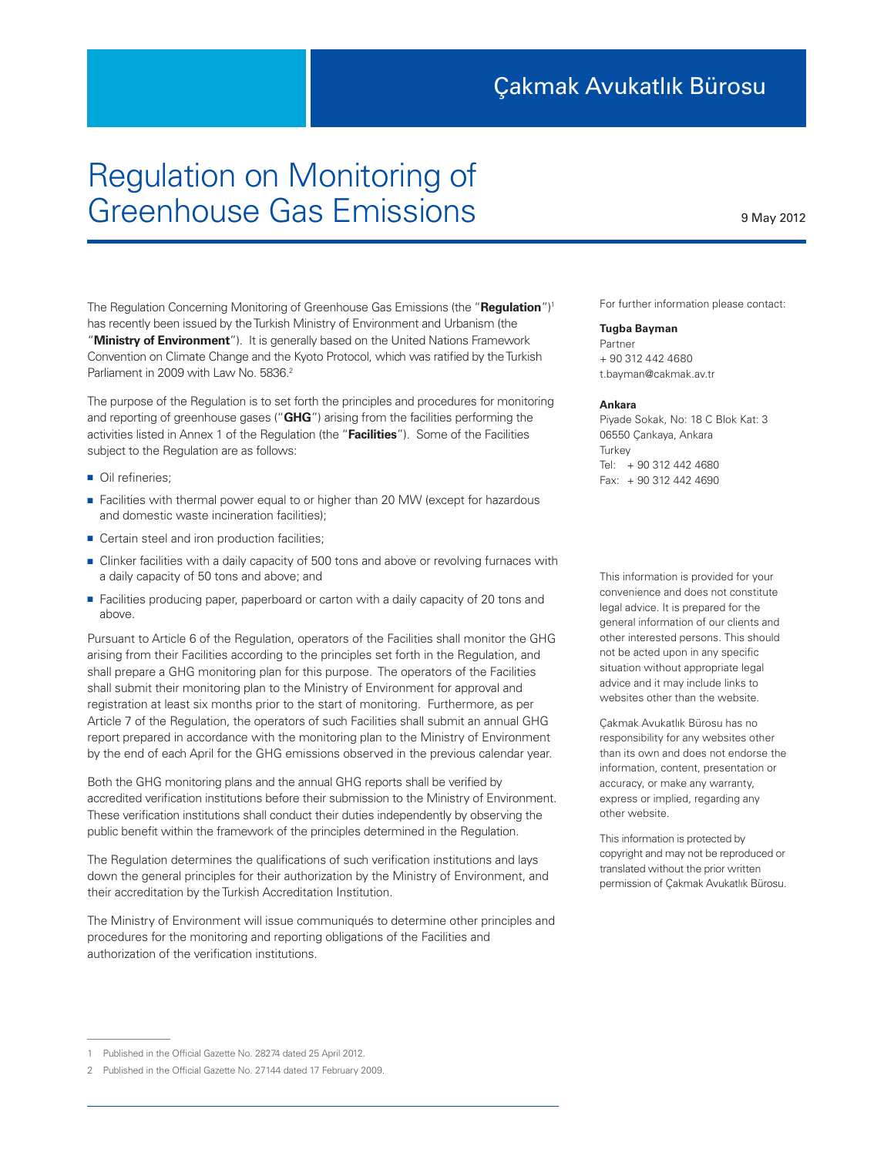## Regulation on Monitoring of Greenhouse Gas Emissions

The Regulation Concerning Monitoring of Greenhouse Gas Emissions (the "**Regulation**")1 has recently been issued by the Turkish Ministry of Environment and Urbanism (the "**Ministry of Environment**"). It is generally based on the United Nations Framework Convention on Climate Change and the Kyoto Protocol, which was ratified by the Turkish Parliament in 2009 with Law No. 5836.<sup>2</sup>

The purpose of the Regulation is to set forth the principles and procedures for monitoring and reporting of greenhouse gases ("**GHG**") arising from the facilities performing the activities listed in Annex 1 of the Regulation (the "**Facilities**"). Some of the Facilities subject to the Regulation are as follows:

- Oil refineries:
- Facilities with thermal power equal to or higher than 20 MW (except for hazardous and domestic waste incineration facilities);
- Certain steel and iron production facilities;
- Clinker facilities with a daily capacity of 500 tons and above or revolving furnaces with a daily capacity of 50 tons and above; and
- Facilities producing paper, paperboard or carton with a daily capacity of 20 tons and above.

Pursuant to Article 6 of the Regulation, operators of the Facilities shall monitor the GHG arising from their Facilities according to the principles set forth in the Regulation, and shall prepare a GHG monitoring plan for this purpose. The operators of the Facilities shall submit their monitoring plan to the Ministry of Environment for approval and registration at least six months prior to the start of monitoring. Furthermore, as per Article 7 of the Regulation, the operators of such Facilities shall submit an annual GHG report prepared in accordance with the monitoring plan to the Ministry of Environment by the end of each April for the GHG emissions observed in the previous calendar year.

Both the GHG monitoring plans and the annual GHG reports shall be verified by accredited verification institutions before their submission to the Ministry of Environment. These verification institutions shall conduct their duties independently by observing the public benefit within the framework of the principles determined in the Regulation.

The Regulation determines the qualifications of such verification institutions and lays down the general principles for their authorization by the Ministry of Environment, and their accreditation by the Turkish Accreditation Institution.

The Ministry of Environment will issue communiqués to determine other principles and procedures for the monitoring and reporting obligations of the Facilities and authorization of the verification institutions.

For further information please contact:

**Tugba Bayman** Partner + 90 312 442 4680 t.bayman@cakmak.av.tr

## **Ankara**

**Ankara** Piyade Sokak, No: 18 C Blok Kat: 3 06550 Çankaya, Ankara **Turkey** Tel: + 90 312 442 4680 Fax: + 90 312 442 4690

This information is provided for your convenience and does not constitute legal advice. It is prepared for the general information of our clients and other interested persons. This should not be acted upon in any specific situation without appropriate legal advice and it may include links to websites other than the website.

Çakmak Avukatlık Bürosu has no responsibility for any websites other than its own and does not endorse the information, content, presentation or accuracy, or make any warranty, express or implied, regarding any other website.

This information is protected by copyright and may not be reproduced or translated without the prior written permission of Çakmak Avukatlık Bürosu.

9 May 2012

<sup>1</sup> Published in the Official Gazette No. 28274 dated 25 April 2012.

<sup>2</sup> Published in the Official Gazette No. 27144 dated 17 February 2009.